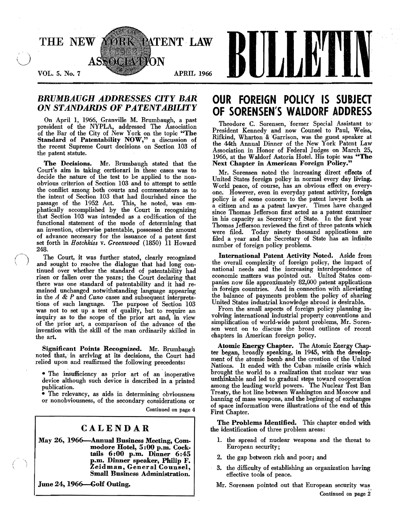

### *BRUMBAUGH ADDRESSES CITY BAR*  ON *STANDARDS* OF *PATENTABILITY*

On April 1, 1966, Granville M. Brumbaugh, a past president of the NYPLA, addressed The Association of the Bar of the City of New York on the topic "The Standard of Patentability NOW," a discussion of the recent Supreme Court decisions on Section 103 of the patent statute.

The Decisions. Mr. Brumbaugh stated that the Court's aim in taking certiorari in these cases was to decide the nature of the test to be applied to the non· obvious criterion of Section 103 and to attempt to settle the conflict among both courts and commentators as to the intent of Section 103 that had flourished since the passage of the 1952 Act. This, he noted, was em· phatically accomplished by the Court in recognizing that Section *103* was intended as a codification of the functional statement of the mode of determining that an invention, otherwise patentahle, possessed the amount of advance necessary for the issuance of a patent first set forth in *Hotchkiss* v. *Greenwood* (1850) 11 Howard 248.

The Court, it was further stated, clearly recognized and sought to resolve the dialogue that had long continued over whether the standard of patentability had risen or fallen over the years; the Court declaring that there was one standard of patentahility and it had re mained unchanged notwithstanding language appearing m the *A* & *P* and *Cuno* cases' and subsequent interpretations of such language. The purpose of Section 103 was not to set up a test of quality, but to require an inquiry as to the scope of the prior art and, in view of the prior art, a comparison of the advance of the invention with the skill of the man ordinarily skilled in the art.

Significant Points Recognized. Mr. Brumhaugh noted that,' in arriving at its decisions, the Court had relied upon and reaffirmed the following precedents:

• The insufficiency as prior art of an inoperative device although such device is described in a printed puhlication.

• The relevancy, as aids in determining ohviousness or nonobviousness, of the secondary considerations or

Continued on page 4

### CALENDAR

May 26, 1966--Annual Business Meeting, Com. modore Hotel, 5:00 p.m. Cock· tails 6:00 p.m. Dinner 6:45 p.m. Dinner speaker, Philip F. Zeidman, General Counsel, Small Business Administration.

June 24, 1966-Golf Outing.

# **OUR FOREIGN POLICY IS SUBJECT OF SORENSEN'S WALDORF** ADDRESS

Theodore C. Sorensen, former Special Assistant to President Kennedy and now Counsel to Paul, Weiss, Rifkind, Wharton & Garrison, was the guest speaker at the 44th Annual Dinner of the New York Patent Law Association in Honor of Federal Judges on March 25, 1966, at the Waldorf Astoria Hotel. His topic was "The Next Chapter in American Foreign Policy."

Mr. Sorensen noted the increasing direct effects of United States foreign policy in normal every day living. World peace, of course, has an obvious effect on every· one. However, even in everyday patent activity, foreign policy is of some concern to the patent lawyer hoth as a citizen and as a' patent lawyer. Times have changed since Thomas Jefferson first acted as a patent examiner in his capacity as Secretary of State. In the first year Thomas Jefferson reviewed the first of three patents which were filed. Today ninety thousand applications are filed a year and the Secretary of State has an infinite number of foreign policy problems.

International Patent Activity Noted. Aside from the overall complexity of foreign policy, the impact of national needs and the increasing interdependence of economic matters was pointed out. United States com· panies now file approximately 82,000 patent applications in foreign conntries. And in connection with alleviating the balance of· payments problem the policy of sharing United States industrial knowledge ahroad is desirahle.

From the small aspects of foreign policy planning in. volving international industrial property conventions and simplification of world-wide patent problems, Mr. Soren· sen went on to discuss the hroad outlines of recent chapters in American foreign policy.

Atomic Energy Chapter. The Atomic Energy Chapter began, broadly speaking, in 1945, with the development of the atomic bomb and the creation of the United Nations. It ended with the Cuban missile crisis which hrought the world to a realization that nuclear war was unthinkable and led to gradual steps toward cooperation among the leading world powers. The Nuclear Test Ban Treaty, the hot line hetween Washington and Moscow and hanning of mass weapons, and the heginning of exchanges of space information were illustrations of the end of this First Chapter.

The Problems Identified. This chapter ended with the identification of three prohlem areas:

- 1. the spread of nuclear weapons and the threat to European security;
- 2. the gap between rich and poor; and
- 3. the difficulty of establishing an organization having effective tools of peace.

Mr. Sorensen pointed out that European security was Continued on page 2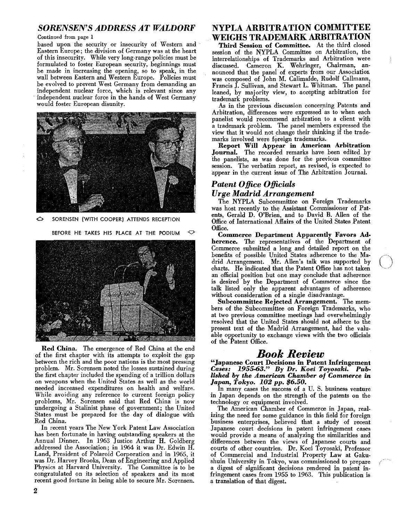### SORENSEN'S ADDRESS AT WALDORF

#### Continued from page 1

based upon the security or insecurity of Western and Eastern Europe; the division of Germany was at the heart of this insecurity. While very long-range policies must be formulated to foster European security, beginnings must be made in increasing the opening, so to speak, in the wall between Eastern and Western Europe. Policies must be evolved to prevent West Germany from demanding an independent nuclear force, which is relevant since any independent nuclear force in the hands of West Germany would foster European disunity.



6 SORENSEN (WITH COOPER) ATTENDS RECEPTION

BEFORE HE TAKES HIS PLACE AT THE PODIUM  $\heartsuit$ 



Red China. The emergence of Red China at the end of the first chapter with its attempts to exploit the gap between the rich and the poor nations is the most pressing problem. Mr. Sorensen noted the losses sustained during the first chapter included the spending of a trillion dollars on weapons when the United States as well as the world needed increased expenditures on health and welfare. While avoiding any reference to current foreign policy problems, Mr. Sorensen said that Red China is now undergoing a Stalinist phase of government; the United States must be prepared for the day of dialogue with Red China.

In recent years The New York Patent Law Association has been fortunate in having outstanding speakers at the Annual Dinner. In 1963 Justice Arthur H. Goldberg addressed the Association; in 1964 it was Dr. Edwin H. Land, President of Polaroid Corporation and in 1965, it was Dr. Harvey Brooks, Dean of Engineering and Applied Physics at Harvard University. The Committee is to be congratulated on its selection of speakers and its most recent good fortune in being able to secure Mr. Sorensen.

# NYPLA ARBITRATION COMMITTEE WEIGHS TRADEMARK ARBITRATION

Third Session of Committee. At the third closed session of the NYPLA Committee on Arbitration, the interrelationships' of Trademarks and Arbitration were discussed. Cameron K. Wehringer, Chairman, announced that the panei' of experts from our Associatior. was composed of John M. Calimafde, Rudolf Callmann, Francis J. Sullivan, and Stewart L. Whitman. The panel leaned, by majority view, to accepting arbitration for trademark problems.

As in the previous discussion concerning Patents and Arbitration, differences were expressed as to when each panelist would recommend arbitration to a client with a trademark problem. The panel members expressed the view that it would not change their thinking if the trademarks involved were foreign trademarks.

Report Will Appear in American Arbitration Journal. The recorded remarks have been edited by 'the panelists, as was done for the previous committee session. The verbatim report, as revised, is expected to appear in the current issue of The Arbitration Journal.

# *Patent Office Officials Urge Madrid Arrangement*

The NYPLA Subcommittee on Foreign Trademarks was host recently to the Assistant Commissioner of Patents, Gerald D. O'Brien, and to David B. Allen of the Office of International Affairs of the United States Patent Office.

Commerce Department Apparently Favors Adherence. The representatives of the Department of Commerce submitted a long and detailed report on the benefits of possible United States adherence to the Madrid Arrangement. Mr. Allen's talk was supported by charts. He indicated that the Patent Office has not taken an official position but one may conclude that adherence is desired by the Department of Commerce since the talk listed only the apparent advantages of adherence without consideration of a single disadvantage.

Subcommittee Rejected Arrangement. The members of the Subcommittee on Foreign Trademarks, who at two previous committee meetings had overwhelmingly resolved that the United States should not adhere to the present text of the Madrid Arrangement, had the valuable opportunity to exchange views with the two officials of the Patent Office.

# *Book Review*

"Japanese Court Decisions in Patent Infringement *Cases:* 1955-63." *By Dr. Koei Toyosaki. Pub*lished by the American Chamber of Commerce in *Japan, Tokyo. 102 pp. \$6.50.* 

In many cases the success of a U. S. business venture in Japan depends on the strength of the patents on the technology or equipment involved.

The American Chamber of Commerce in Japan, realizing the need for some guidance in this field for foreign business enterprises, believed that a study of recent Japanese court decisions in patent infringement cases would provide a means of analyzing the similarities and differences between the views of Japanese courts and courts of other countries. Dr. Koei Toyosaki, Professor of Commercial and Industrial Property Law at Gakushuin University in Tokyo, was commissioned to prepare a digest of significant decisions rendered in patent infringement cases from 1955 to 1963. This publication is a translation of that digest.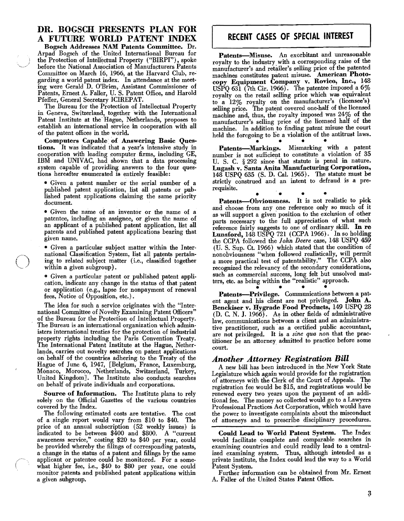## DR. BOGSCH PRESENTS PLAN FOR A FUTURE WORLD PATENT INDEX

Bogsch Addresses NAM Patents Committee. Dr. Arpad Bogsch of the United International Bureau for the Protection of Intellectual Property ("BIRPI"), spoke before the National Association of Manufacturers Patents Committee on March i6, 1966, at the Harvard Club, re~ garding a world patent index. In attendance at the meeting were Gerald D. O'Brien, Assistant Commissioner of Patents, Ernest A. Faller, U. S. Patent Office, and Harold Pfeffer, General Secretary ICIREPAT.

The Bureau for the Protection of Intellectual Property in Geneva, Switzerland, together with the International Patent Institute at the'Hague, Netherlands, proposes to establish an international service in cooperation with all of the patent offices in.the world.

Computers Capable of Answering Basic Questions. It was indicated that a year's intensive study in cooperation with leading computer firms, including GE, IBM and UNIVAC, had. shown that a data processing system capable of providing answers to the four questions hereafter enumerated is entirely feasible:

• Given a patent number or the serial number of a published patent application, list all patents or published patent applications claiming the same priority document.

• Given the name of an inventor or the name of a patentee, including an assignee, or given the name of an applicant of a published patent application, list all patents and published patent applications bearing that given name.

• Given a particular subject matter within the International Classification System, list all patents pertaining to related subject matter (i.e., classified together within a given subgroup).

• Given a particular patent or published patent application, indicate any change in the status of that patent or application (e.g., lapse for nonpayment of renewal fees, Notice of Opposition, etc.).

The idea for such a service originates with the "International Committee of Novelty Examining Patent Officers" of the Bureau for the Protection of Intellectual Property. The Bureau is an international organization which administers international treaties for the protection of industrial property rights including the Paris Convention Treaty. The International Patent Institute at the Hague, Netherlands, carries out novelty searches on patent applications on behalf of the countries adhering to the Treaty of the Hague of June 6, 1947, [Belgium, France, Luxemburg, Monaco, Morocco, Netherlands, Switzerland, Turkey, United Kingdom]. The Institute also conducts searches on behalf of private individuals and corporations.

Source of Information. The Institute plans to rely solely on the Official Gazettes of the various countries covered by the Index.

The following estimated costs are tentative. The cost of a single report would vary from \$10 to \$40. The price of an annual subscription (52 weekly issues) is indicated to be between \$400 and \$800. A "current awareness service," costing \$20 to \$40 per year, could be provided whereby the filings of corresponding patents, a change in the status of a patent and filings by the same applicant or patentee could be monitored. For a somewhat higher fee, i.e., \$40 to \$80 per year, one could monitor patents and published patent applications within a given subgroup.

## RECENT CASES OF SPECIAL INTEREST

held the foregoing to be a violation of the antitrust laws. Patents-Misuse. An exorbitant and unreasonable royalty to the industry. with a corresponding raise of the manufacturer's and retailer's selling price of the patented machines constitutes patent misuse. American Photocopy Equipment Company v. Rovico, Inc., 148 USPQ 631 (7th Cir. 1966). The patentee imposed a  $6\%$ royalty on the retail selling price which was equivalent to a  $12\%$  royalty on the manufacturer's (licensee's) selling price. The patent covered one-half of the licensed machine and, thus, the royalty imposed was 24% of the manufacturer's selling price of the licensed half of the machine. In addition to finding patent misuse the court

Patents-Markings. Mismarking with a patent number is not sufficient to constitute a violation of 35 U. S. C. § 292 since that statute is penal in nature. Lugash v. Santa Anita Manufacturing Corporation, 148 USPQ 635 (S. D. Cal. 1965). The statute must be strictly construed and an intent to defraud is a prerequisite.

• • • • Patents-Obviousness. It is not realistic to pick and choose from any one reference only so much of it as will support a given position to the exclusion of other parts necessary to the full appreciation of what such reference fairly suggests to one of ordinary skill. In re Lunsford, 148 USPQ 721 (CCPA 1966). In so holding the CCPA followed the *John Deere* case, 148 USPQ 459 (U. S. Sup. Ct. 1966) which stated that the condition of nonobviousness "when followed reahstically, wIll pernut a more practical test of patentability." The CCPA also recognized the relevancy of the secondary considerations, such as commercial success, long felt but unsolved matters, etc. as being within the "realistic" approach.

 $\bullet$   $\bullet$   $\bullet$   $\bullet$   $\bullet$   $\bullet$ Patents-Privilege. Communications between a patent agent and his client are not privileged. John A. Benckiser v. Hygrade Food Products, 149 USPQ 28 (D. C. N. J. 1966). As in other fields of administrative law, communications between a client and an administrative practitioner, such as a certified public accountant, are not privileged. It is a *sine qua non* that the practitioner be an attorney admitted to practice before some court.

### *Another Attorney Registration Bill*

A new bill has been introduced in the New York State Legislature which again would provide for the registration of attorneys with the Clerk of the Court of Appeals. The registration fee would be \$15, and registrations would he renewed every two years upon the payment of an additional fee. The money so collected would go to a Lawyers Professional Practices Act Corporation, which would have the power to investigate complaints about the misconduct of attorneys and to prescribe disciplinary procedures.

Could Lead to World Patent System. The Index would facilitate complete and comparable searches in examining countries and could readily lead to a centralized examining system. Thus, although intended as a private institute, the Index could lead the way to a World Patent System.

Further information can be obtained from Mr. Ernest A. Faller of the United States Patent Office.